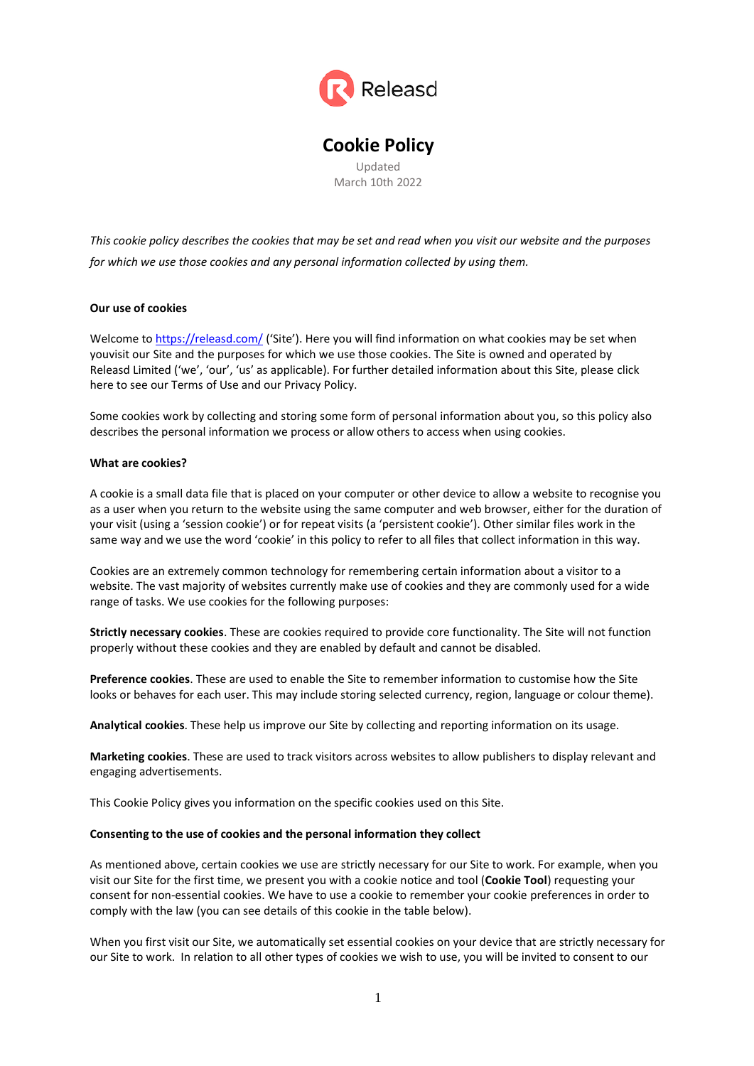

**Cookie Policy** Updated March 10th 2022

*This cookie policy describes the cookies that may be set and read when you visit our website and the purposes for which we use those cookies and any personal information collected by using them.*

## **Our use of cookies**

Welcome to<https://releasd.com/> ('Site'). Here you will find information on what cookies may be set when youvisit our Site and the purposes for which we use those cookies. The Site is owned and operated by Releasd Limited ('we', 'our', 'us' as applicable). For further detailed information about this Site, please click here to see our Terms of Use and our Privacy Policy.

Some cookies work by collecting and storing some form of personal information about you, so this policy also describes the personal information we process or allow others to access when using cookies.

### **What are cookies?**

A cookie is a small data file that is placed on your computer or other device to allow a website to recognise you as a user when you return to the website using the same computer and web browser, either for the duration of your visit (using a 'session cookie') or for repeat visits (a 'persistent cookie'). Other similar files work in the same way and we use the word 'cookie' in this policy to refer to all files that collect information in this way.

Cookies are an extremely common technology for remembering certain information about a visitor to a website. The vast majority of websites currently make use of cookies and they are commonly used for a wide range of tasks. We use cookies for the following purposes:

**Strictly necessary cookies**. These are cookies required to provide core functionality. The Site will not function properly without these cookies and they are enabled by default and cannot be disabled.

**Preference cookies**. These are used to enable the Site to remember information to customise how the Site looks or behaves for each user. This may include storing selected currency, region, language or colour theme).

**Analytical cookies**. These help us improve our Site by collecting and reporting information on its usage.

**Marketing cookies**. These are used to track visitors across websites to allow publishers to display relevant and engaging advertisements.

This Cookie Policy gives you information on the specific cookies used on this Site.

### **Consenting to the use of cookies and the personal information they collect**

As mentioned above, certain cookies we use are strictly necessary for our Site to work. For example, when you visit our Site for the first time, we present you with a cookie notice and tool (**Cookie Tool**) requesting your consent for non-essential cookies. We have to use a cookie to remember your cookie preferences in order to comply with the law (you can see details of this cookie in the table below).

When you first visit our Site, we automatically set essential cookies on your device that are strictly necessary for our Site to work. In relation to all other types of cookies we wish to use, you will be invited to consent to our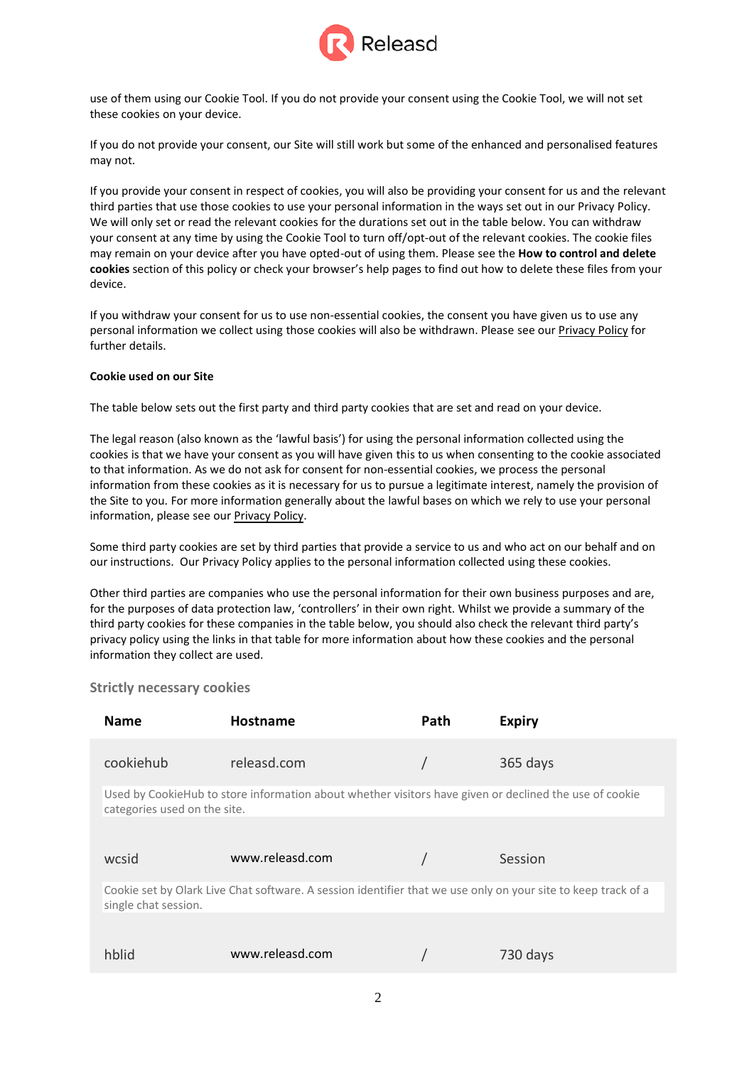

use of them using our Cookie Tool. If you do not provide your consent using the Cookie Tool, we will not set these cookies on your device.

If you do not provide your consent, our Site will still work but some of the enhanced and personalised features may not.

If you provide your consent in respect of cookies, you will also be providing your consent for us and the relevant third parties that use those cookies to use your personal information in the ways set out in our Privacy Policy. We will only set or read the relevant cookies for the durations set out in the table below. You can withdraw your consent at any time by using the Cookie Tool to turn off/opt-out of the relevant cookies. The cookie files may remain on your device after you have opted-out of using them. Please see the **How to control and delete cookies** section of this policy or check your browser's help pages to find out how to delete these files from your device.

If you withdraw your consent for us to use non-essential cookies, the consent you have given us to use any personal information we collect using those cookies will also be withdrawn. Please see our Privacy Policy for further details.

### **Cookie used on our Site**

The table below sets out the first party and third party cookies that are set and read on your device.

The legal reason (also known as the 'lawful basis') for using the personal information collected using the cookies is that we have your consent as you will have given this to us when consenting to the cookie associated to that information. As we do not ask for consent for non-essential cookies, we process the personal information from these cookies as it is necessary for us to pursue a legitimate interest, namely the provision of the Site to you. For more information generally about the lawful bases on which we rely to use your personal information, please see our Privacy Policy.

Some third party cookies are set by third parties that provide a service to us and who act on our behalf and on our instructions. Our Privacy Policy applies to the personal information collected using these cookies.

Other third parties are companies who use the personal information for their own business purposes and are, for the purposes of data protection law, 'controllers' in their own right. Whilst we provide a summary of the third party cookies for these companies in the table below, you should also check the relevant third party's privacy policy using the links in that table for more information about how these cookies and the personal information they collect are used.

## **Strictly necessary cookies**

| <b>Name</b>                                                                                                                           | <b>Hostname</b>                                                                                        | Path | <b>Expiry</b> |  |
|---------------------------------------------------------------------------------------------------------------------------------------|--------------------------------------------------------------------------------------------------------|------|---------------|--|
| cookiehub                                                                                                                             | releasd.com                                                                                            |      | 365 days      |  |
| categories used on the site.                                                                                                          | Used by CookieHub to store information about whether visitors have given or declined the use of cookie |      |               |  |
|                                                                                                                                       |                                                                                                        |      |               |  |
| wcsid                                                                                                                                 | www.releasd.com                                                                                        |      | Session       |  |
| Cookie set by Olark Live Chat software. A session identifier that we use only on your site to keep track of a<br>single chat session. |                                                                                                        |      |               |  |
|                                                                                                                                       |                                                                                                        |      |               |  |
| hblid                                                                                                                                 | www.releasd.com                                                                                        |      | 730 days      |  |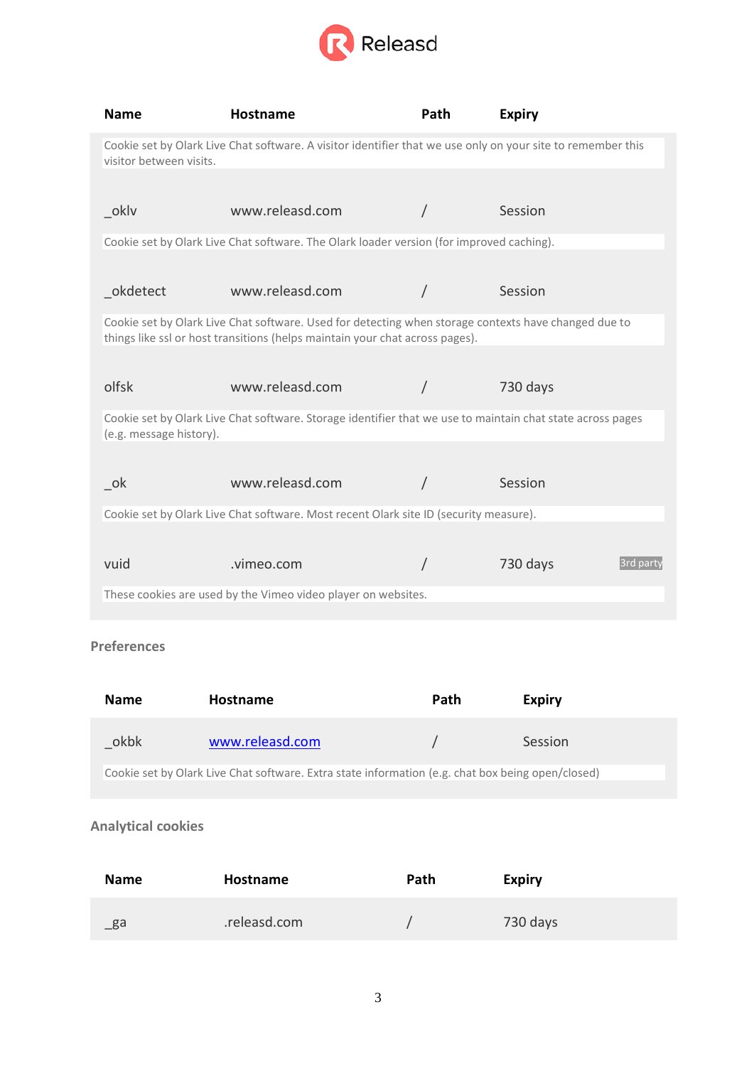

| Name                                                                                                                                   | Hostname                                                                                                                                                                             | Path | <b>Expiry</b> |           |
|----------------------------------------------------------------------------------------------------------------------------------------|--------------------------------------------------------------------------------------------------------------------------------------------------------------------------------------|------|---------------|-----------|
| Cookie set by Olark Live Chat software. A visitor identifier that we use only on your site to remember this<br>visitor between visits. |                                                                                                                                                                                      |      |               |           |
|                                                                                                                                        |                                                                                                                                                                                      |      |               |           |
| _oklv                                                                                                                                  | www.releasd.com                                                                                                                                                                      |      | Session       |           |
|                                                                                                                                        | Cookie set by Olark Live Chat software. The Olark loader version (for improved caching).                                                                                             |      |               |           |
|                                                                                                                                        |                                                                                                                                                                                      |      |               |           |
| _okdetect                                                                                                                              | www.releasd.com                                                                                                                                                                      |      | Session       |           |
|                                                                                                                                        | Cookie set by Olark Live Chat software. Used for detecting when storage contexts have changed due to<br>things like ssl or host transitions (helps maintain your chat across pages). |      |               |           |
|                                                                                                                                        |                                                                                                                                                                                      |      |               |           |
| olfsk                                                                                                                                  | www.releasd.com                                                                                                                                                                      |      | 730 days      |           |
| Cookie set by Olark Live Chat software. Storage identifier that we use to maintain chat state across pages<br>(e.g. message history).  |                                                                                                                                                                                      |      |               |           |
|                                                                                                                                        |                                                                                                                                                                                      |      |               |           |
| ok                                                                                                                                     | www.releasd.com                                                                                                                                                                      |      | Session       |           |
| Cookie set by Olark Live Chat software. Most recent Olark site ID (security measure).                                                  |                                                                                                                                                                                      |      |               |           |
|                                                                                                                                        |                                                                                                                                                                                      |      |               |           |
| vuid                                                                                                                                   | .vimeo.com                                                                                                                                                                           |      | 730 days      | 3rd party |
| These cookies are used by the Vimeo video player on websites.                                                                          |                                                                                                                                                                                      |      |               |           |
|                                                                                                                                        |                                                                                                                                                                                      |      |               |           |

# **Preferences**

| <b>Name</b>                                                                                       | Hostname        | Path | <b>Expiry</b> |
|---------------------------------------------------------------------------------------------------|-----------------|------|---------------|
| okbk                                                                                              | www.releasd.com |      | Session       |
| Cookie set by Olark Live Chat software. Extra state information (e.g. chat box being open/closed) |                 |      |               |

# **Analytical cookies**

| <b>Name</b>    | Hostname     | Path | <b>Expiry</b> |
|----------------|--------------|------|---------------|
| $\mathsf{g}$ a | .releasd.com |      | 730 days      |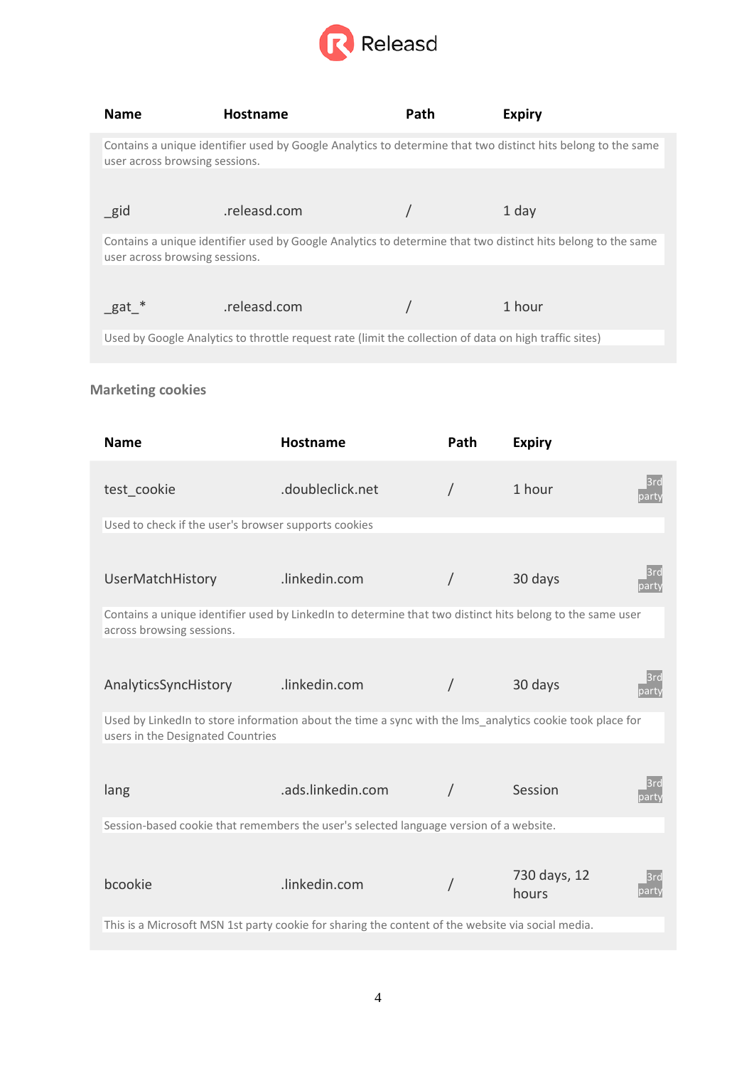

| <b>Name</b>                                                                                                                                    | <b>Hostname</b> | Path | <b>Expiry</b> |  |
|------------------------------------------------------------------------------------------------------------------------------------------------|-----------------|------|---------------|--|
| Contains a unique identifier used by Google Analytics to determine that two distinct hits belong to the same<br>user across browsing sessions. |                 |      |               |  |
|                                                                                                                                                |                 |      |               |  |
| _gid                                                                                                                                           | .releasd.com    |      | 1 day         |  |
| Contains a unique identifier used by Google Analytics to determine that two distinct hits belong to the same<br>user across browsing sessions. |                 |      |               |  |
|                                                                                                                                                |                 |      |               |  |
| _gat *                                                                                                                                         | .releasd.com    |      | 1 hour        |  |
| Used by Google Analytics to throttle request rate (limit the collection of data on high traffic sites)                                         |                 |      |               |  |

# **Marketing cookies**

| <b>Name</b>                                                                                                                                   | <b>Hostname</b>   | Path | <b>Expiry</b>         |              |  |
|-----------------------------------------------------------------------------------------------------------------------------------------------|-------------------|------|-----------------------|--------------|--|
| test cookie                                                                                                                                   | .doubleclick.net  |      | 1 hour                | 3rd<br>party |  |
| Used to check if the user's browser supports cookies                                                                                          |                   |      |                       |              |  |
| <b>UserMatchHistory</b>                                                                                                                       | .linkedin.com     |      | 30 days               | 3rd<br>party |  |
| Contains a unique identifier used by LinkedIn to determine that two distinct hits belong to the same user<br>across browsing sessions.        |                   |      |                       |              |  |
|                                                                                                                                               |                   |      |                       |              |  |
| AnalyticsSyncHistory                                                                                                                          | .linkedin.com     |      | 30 days               | 3rd<br>party |  |
| Used by LinkedIn to store information about the time a sync with the Ims_analytics cookie took place for<br>users in the Designated Countries |                   |      |                       |              |  |
| lang                                                                                                                                          | .ads.linkedin.com |      | Session               | 3rd<br>party |  |
| Session-based cookie that remembers the user's selected language version of a website.                                                        |                   |      |                       |              |  |
| bcookie                                                                                                                                       | .linkedin.com     |      | 730 days, 12<br>hours | 3rd<br>party |  |
| This is a Microsoft MSN 1st party cookie for sharing the content of the website via social media.                                             |                   |      |                       |              |  |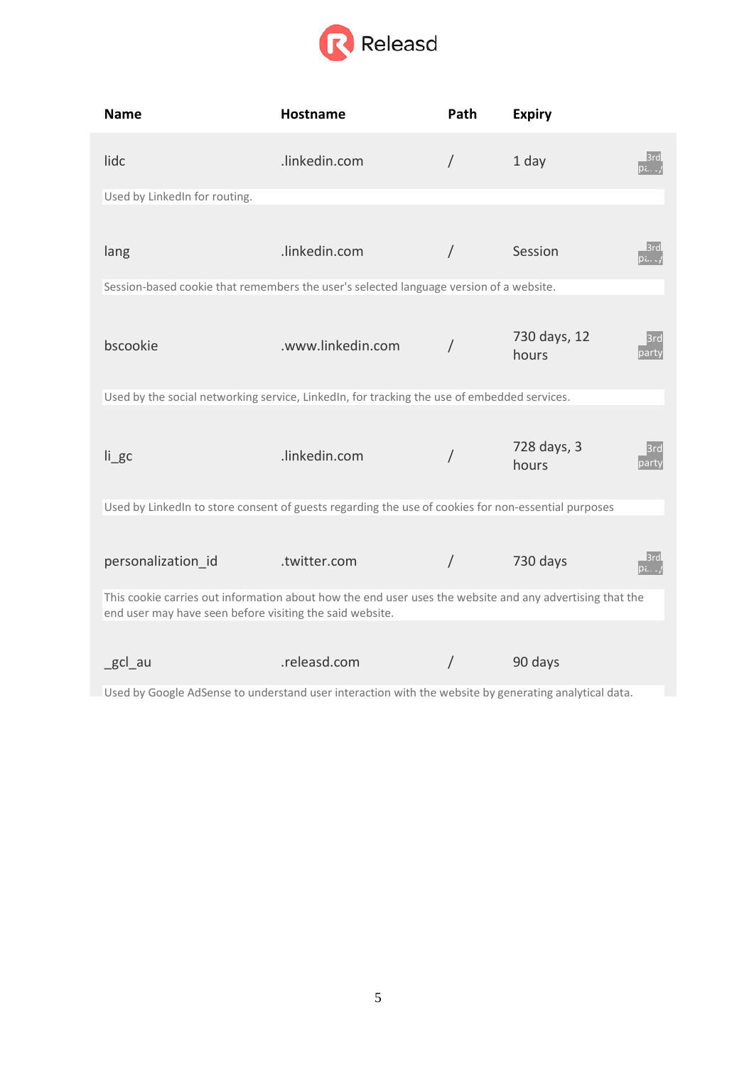

| <b>Name</b>                                                                                                                                                          | Hostname          | Path       | <b>Expiry</b>         |                     |
|----------------------------------------------------------------------------------------------------------------------------------------------------------------------|-------------------|------------|-----------------------|---------------------|
| lidc                                                                                                                                                                 | .linkedin.com     | $\sqrt{2}$ | 1 day                 | 3rd<br>ρ            |
| Used by LinkedIn for routing.                                                                                                                                        |                   |            |                       |                     |
|                                                                                                                                                                      |                   |            |                       |                     |
| lang                                                                                                                                                                 | .linkedin.com     |            | Session               | l3rd<br><b>pa.c</b> |
| Session-based cookie that remembers the user's selected language version of a website.                                                                               |                   |            |                       |                     |
| bscookie                                                                                                                                                             | .www.linkedin.com |            | 730 days, 12<br>hours | 3rd<br>party        |
| Used by the social networking service, LinkedIn, for tracking the use of embedded services.                                                                          |                   |            |                       |                     |
| $li$ gc                                                                                                                                                              | .linkedin.com     | /          | 728 days, 3<br>hours  | l3rd<br>party       |
| Used by LinkedIn to store consent of guests regarding the use of cookies for non-essential purposes                                                                  |                   |            |                       |                     |
| personalization id                                                                                                                                                   | .twitter.com      |            | 730 days              | pa. .               |
| This cookie carries out information about how the end user uses the website and any advertising that the<br>end user may have seen before visiting the said website. |                   |            |                       |                     |
| _gcl_au                                                                                                                                                              | .releasd.com      | /          | 90 days               |                     |

Used by Google AdSense to understand user interaction with the website by generating analytical data.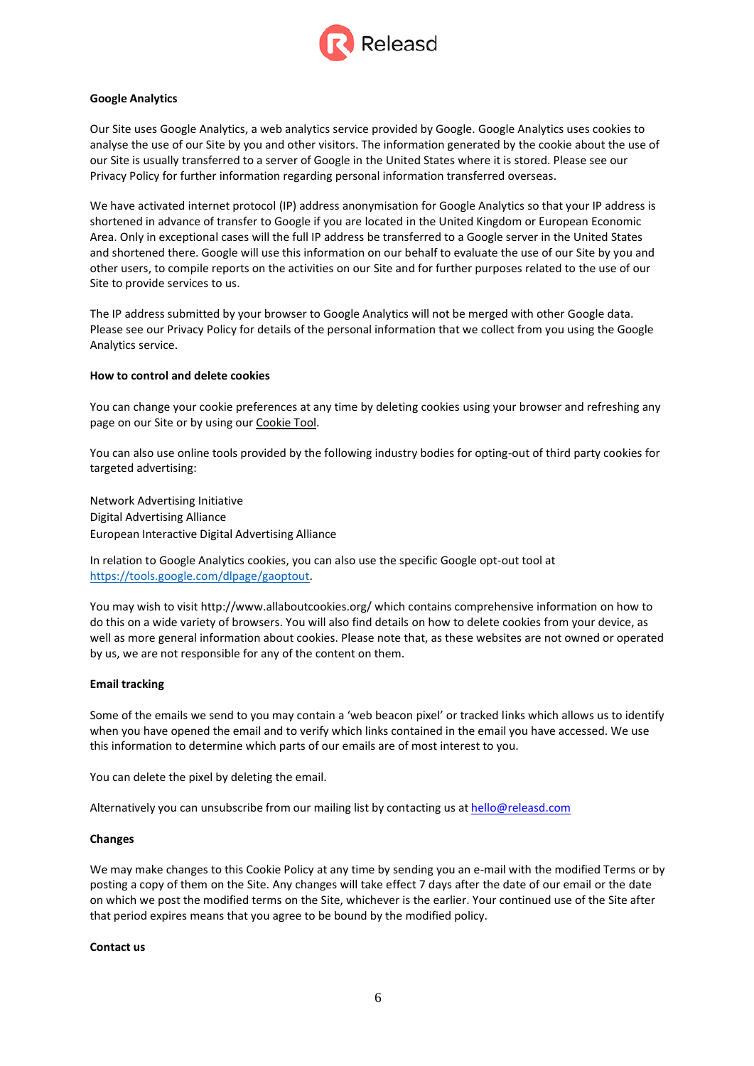

## **Google Analytics**

Our Site uses Google Analytics, a web analytics service provided by Google. Google Analytics uses cookies to analyse the use of our Site by you and other visitors. The information generated by the cookie about the use of our Site is usually transferred to a server of Google in the United States where it is stored. Please see our Privacy Policy for further information regarding personal information transferred overseas.

We have activated internet protocol (IP) address anonymisation for Google Analytics so that your IP address is shortened in advance of transfer to Google if you are located in the United Kingdom or European Economic Area. Only in exceptional cases will the full IP address be transferred to a Google server in the United States and shortened there. Google will use this information on our behalf to evaluate the use of our Site by you and other users, to compile reports on the activities on our Site and for further purposes related to the use of our Site to provide services to us.

The IP address submitted by your browser to Google Analytics will not be merged with other Google data. Please see our Privacy Policy for details of the personal information that we collect from you using the Google Analytics service.

### **How to control and delete cookies**

You can change your cookie preferences at any time by deleting cookies using your browser and refreshing any page on our Site or by using our Cookie Tool.

You can also use online tools provided by the following industry bodies for opting-out of third party cookies for targeted advertising:

Network Advertising Initiative Digital Advertising Alliance European Interactive Digital Advertising Alliance

In relation to Google Analytics cookies, you can also use the specific Google opt-out tool at https://tools.google.com/dlpage/gaoptout.

You may wish to visi[t http://www.allaboutcookies.org/ w](http://www.allaboutcookies.org/)hich contains comprehensive information on how to do this on a wide variety of browsers. You will also find details on how to delete cookies from your device, as well as more general information about cookies. Please note that, as these websites are not owned or operated by us, we are not responsible for any of the content on them.

### **Email tracking**

Some of the emails we send to you may contain a 'web beacon pixel' or tracked links which allows us to identify when you have opened the email and to verify which links contained in the email you have accessed. We use this information to determine which parts of our emails are of most interest to you.

You can delete the pixel by deleting the email.

Alternatively you can unsubscribe from our mailing list by contacting us at [hello@releasd.com](mailto:hello@releasd.com)

### **Changes**

We may make changes to this Cookie Policy at any time by sending you an e-mail with the modified Terms or by posting a copy of them on the Site. Any changes will take effect 7 days after the date of our email or the date on which we post the modified terms on the Site, whichever is the earlier. Your continued use of the Site after that period expires means that you agree to be bound by the modified policy.

### **Contact us**